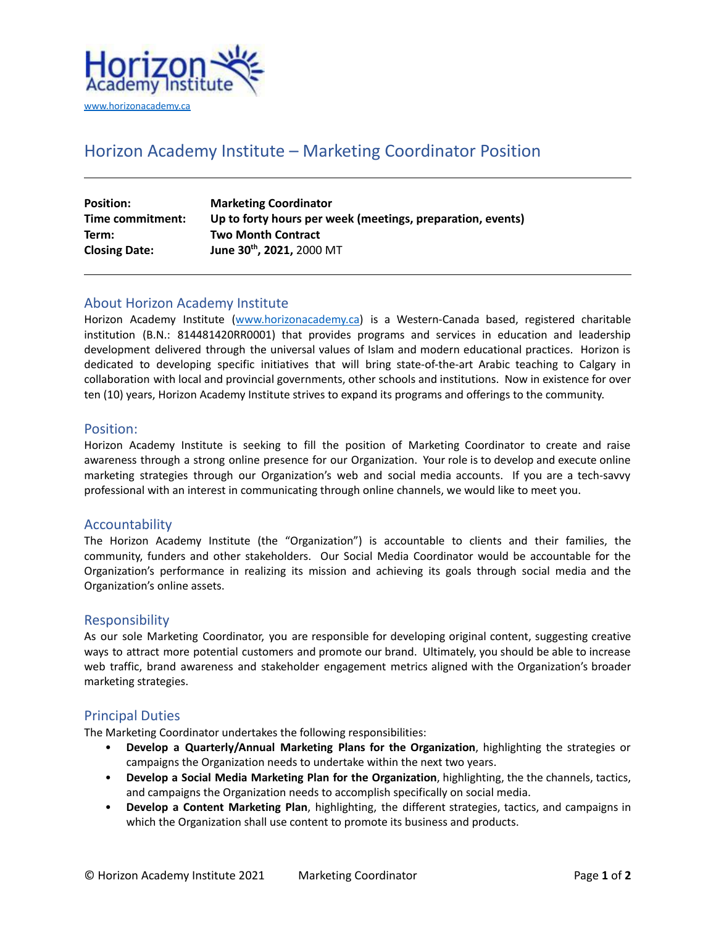

# Horizon Academy Institute – Marketing Coordinator Position

| <b>Position:</b>     | <b>Marketing Coordinator</b>                               |
|----------------------|------------------------------------------------------------|
| Time commitment:     | Up to forty hours per week (meetings, preparation, events) |
| Term:                | <b>Two Month Contract</b>                                  |
| <b>Closing Date:</b> | June 30th, 2021, 2000 MT                                   |

# About Horizon Academy Institute

Horizon Academy Institute ([www.horizonacademy.ca\)](http://www.horizonacademy.ca) is a Western-Canada based, registered charitable institution (B.N.: 814481420RR0001) that provides programs and services in education and leadership development delivered through the universal values of Islam and modern educational practices. Horizon is dedicated to developing specific initiatives that will bring state-of-the-art Arabic teaching to Calgary in collaboration with local and provincial governments, other schools and institutions. Now in existence for over ten (10) years, Horizon Academy Institute strives to expand its programs and offerings to the community.

#### Position:

Horizon Academy Institute is seeking to fill the position of Marketing Coordinator to create and raise awareness through a strong online presence for our Organization. Your role is to develop and execute online marketing strategies through our Organization's web and social media accounts. If you are a tech-savvy professional with an interest in communicating through online channels, we would like to meet you.

### Accountability

The Horizon Academy Institute (the "Organization") is accountable to clients and their families, the community, funders and other stakeholders. Our Social Media Coordinator would be accountable for the Organization's performance in realizing its mission and achieving its goals through social media and the Organization's online assets.

### Responsibility

As our sole Marketing Coordinator, you are responsible for developing original content, suggesting creative ways to attract more potential customers and promote our brand. Ultimately, you should be able to increase web traffic, brand awareness and stakeholder engagement metrics aligned with the Organization's broader marketing strategies.

### Principal Duties

The Marketing Coordinator undertakes the following responsibilities:

- **Develop a Quarterly/Annual Marketing Plans for the Organization**, highlighting the strategies or campaigns the Organization needs to undertake within the next two years.
- **Develop a Social Media Marketing Plan for the Organization**, highlighting, the the channels, tactics, and campaigns the Organization needs to accomplish specifically on social media.
- **Develop a Content Marketing Plan**, highlighting, the different strategies, tactics, and campaigns in which the Organization shall use content to promote its business and products.